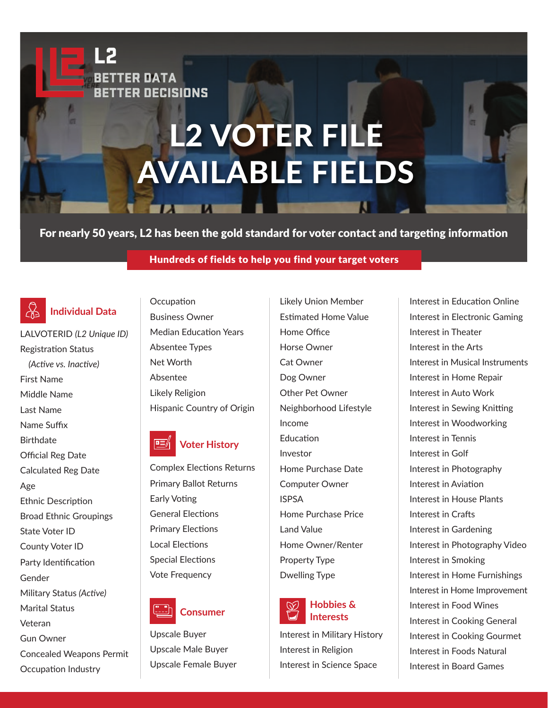# L2 VOTER FILE AVAILABLE FIELDS

For nearly 50 years, L2 has been the gold standard for voter contact and targeting information

## Hundreds of fields to help you find your target voters

#### $\mathbb{R}$ **Individual Data**

**BETTER DATA** 

**BETTER DECISIONS** 

LALVOTERID *(L2 Unique ID)*  Registration Status  *(Active vs. Inactive)*  First Name Middle Name Last Name Name Suffix **Birthdate** Official Reg Date Calculated Reg Date Age Ethnic Description Broad Ethnic Groupings State Voter ID County Voter ID Party Identification Gender Military Status *(Active)*  Marital Status Veteran Gun Owner Concealed Weapons Permit

Occupation Industry

**Occupation** Business Owner Median Education Years Absentee Types Net Worth Absentee Likely Religion Hispanic Country of Origin

#### **Voter History k**

Complex Elections Returns Primary Ballot Returns Early Voting General Elections Primary Elections Local Elections Special Elections Vote Frequency



Upscale Buyer Upscale Male Buyer Upscale Female Buyer Likely Union Member Estimated Home Value Home Office Horse Owner Cat Owner Dog Owner Other Pet Owner Neighborhood Lifestyle Income Education Investor Home Purchase Date Computer Owner ISPSA Home Purchase Price Land Value Home Owner/Renter Property Type Dwelling Type



Interest in Military History Interest in Religion Interest in Science Space

Interest in Education Online Interest in Electronic Gaming Interest in Theater Interest in the Arts Interest in Musical Instruments Interest in Home Repair Interest in Auto Work Interest in Sewing Knitting Interest in Woodworking Interest in Tennis Interest in Golf Interest in Photography Interest in Aviation Interest in House Plants Interest in Crafts Interest in Gardening Interest in Photography Video Interest in Smoking Interest in Home Furnishings Interest in Home Improvement Interest in Food Wines Interest in Cooking General Interest in Cooking Gourmet Interest in Foods Natural Interest in Board Games